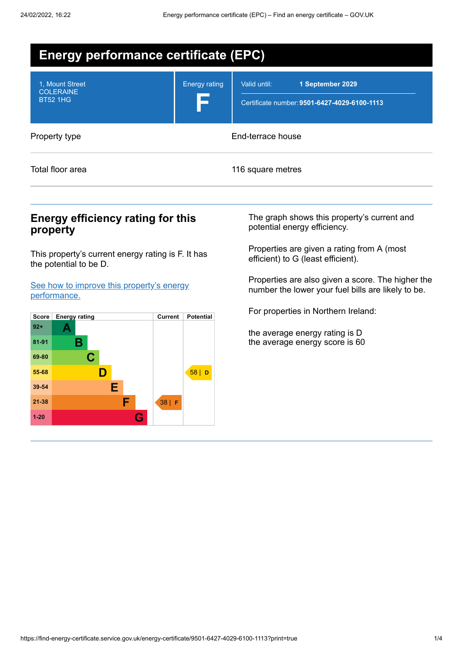| <b>Energy performance certificate (EPC)</b>            |                      |                                                                                  |  |
|--------------------------------------------------------|----------------------|----------------------------------------------------------------------------------|--|
| 1. Mount Street<br><b>COLERAINE</b><br><b>BT52 1HG</b> | <b>Energy rating</b> | Valid until:<br>1 September 2029<br>Certificate number: 9501-6427-4029-6100-1113 |  |
| Property type                                          | End-terrace house    |                                                                                  |  |
| Total floor area                                       |                      | 116 square metres                                                                |  |

## **Energy efficiency rating for this property**

This property's current energy rating is F. It has the potential to be D.

See how to improve this property's energy [performance.](#page-2-0)



The graph shows this property's current and potential energy efficiency.

Properties are given a rating from A (most efficient) to G (least efficient).

Properties are also given a score. The higher the number the lower your fuel bills are likely to be.

For properties in Northern Ireland:

the average energy rating is D the average energy score is 60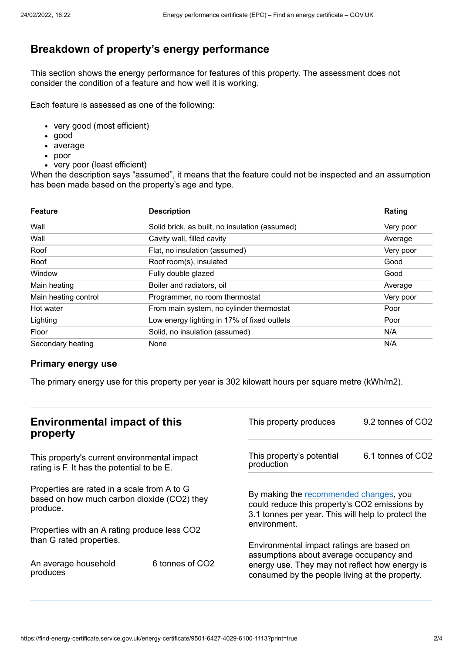# **Breakdown of property's energy performance**

This section shows the energy performance for features of this property. The assessment does not consider the condition of a feature and how well it is working.

Each feature is assessed as one of the following:

- very good (most efficient)
- good
- average
- poor
- very poor (least efficient)

When the description says "assumed", it means that the feature could not be inspected and an assumption has been made based on the property's age and type.

| <b>Feature</b>       | <b>Description</b>                             | Rating    |
|----------------------|------------------------------------------------|-----------|
| Wall                 | Solid brick, as built, no insulation (assumed) | Very poor |
| Wall                 | Cavity wall, filled cavity                     | Average   |
| Roof                 | Flat, no insulation (assumed)                  | Very poor |
| Roof                 | Roof room(s), insulated                        | Good      |
| Window               | Fully double glazed                            | Good      |
| Main heating         | Boiler and radiators, oil                      | Average   |
| Main heating control | Programmer, no room thermostat                 | Very poor |
| Hot water            | From main system, no cylinder thermostat       | Poor      |
| Lighting             | Low energy lighting in 17% of fixed outlets    | Poor      |
| Floor                | Solid, no insulation (assumed)                 | N/A       |
| Secondary heating    | None                                           | N/A       |

#### **Primary energy use**

The primary energy use for this property per year is 302 kilowatt hours per square metre (kWh/m2).

| <b>Environmental impact of this</b><br>property                                                        |                 | This property produces                                                                                                                        | 9.2 tonnes of CO2 |
|--------------------------------------------------------------------------------------------------------|-----------------|-----------------------------------------------------------------------------------------------------------------------------------------------|-------------------|
| This property's current environmental impact<br>rating is F. It has the potential to be E.             |                 | This property's potential<br>production                                                                                                       | 6.1 tonnes of CO2 |
| Properties are rated in a scale from A to G<br>based on how much carbon dioxide (CO2) they<br>produce. |                 | By making the recommended changes, you<br>could reduce this property's CO2 emissions by<br>3.1 tonnes per year. This will help to protect the |                   |
| Properties with an A rating produce less CO2                                                           |                 | environment.                                                                                                                                  |                   |
| than G rated properties.                                                                               |                 | Environmental impact ratings are based on<br>assumptions about average occupancy and                                                          |                   |
| An average household<br>produces                                                                       | 6 tonnes of CO2 | energy use. They may not reflect how energy is<br>consumed by the people living at the property.                                              |                   |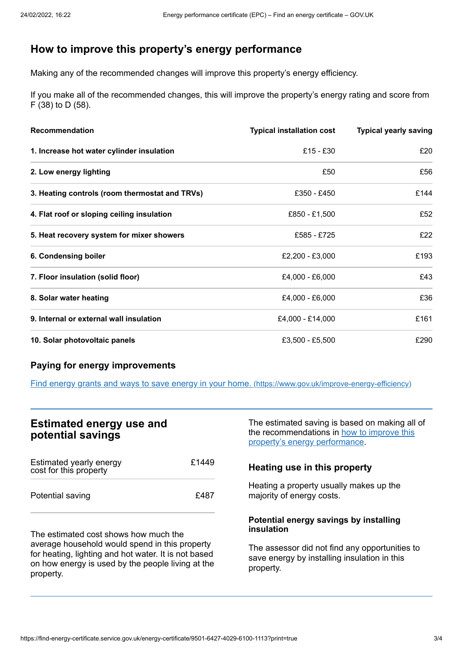## <span id="page-2-0"></span>**How to improve this property's energy performance**

Making any of the recommended changes will improve this property's energy efficiency.

If you make all of the recommended changes, this will improve the property's energy rating and score from F (38) to D (58).

| Recommendation                                 | <b>Typical installation cost</b> | <b>Typical yearly saving</b> |
|------------------------------------------------|----------------------------------|------------------------------|
| 1. Increase hot water cylinder insulation      | £15 - £30                        | £20                          |
| 2. Low energy lighting                         | £50                              | £56                          |
| 3. Heating controls (room thermostat and TRVs) | £350 - £450                      | £144                         |
| 4. Flat roof or sloping ceiling insulation     | £850 - £1,500                    | £52                          |
| 5. Heat recovery system for mixer showers      | £585 - £725                      | £22                          |
| 6. Condensing boiler                           | £2,200 - £3,000                  | £193                         |
| 7. Floor insulation (solid floor)              | £4,000 - £6,000                  | £43                          |
| 8. Solar water heating                         | £4,000 - £6,000                  | £36                          |
| 9. Internal or external wall insulation        | £4,000 - £14,000                 | £161                         |
| 10. Solar photovoltaic panels                  | £3,500 - £5,500                  | £290                         |

#### **Paying for energy improvements**

Find energy grants and ways to save energy in your home. [\(https://www.gov.uk/improve-energy-efficiency\)](https://www.gov.uk/improve-energy-efficiency)

## **Estimated energy use and potential savings**

| Estimated yearly energy<br>cost for this property | £1449 |
|---------------------------------------------------|-------|
| Potential saving                                  | £487  |

The estimated cost shows how much the average household would spend in this property for heating, lighting and hot water. It is not based on how energy is used by the people living at the property.

The estimated saving is based on making all of the [recommendations](#page-2-0) in how to improve this property's energy performance.

#### **Heating use in this property**

Heating a property usually makes up the majority of energy costs.

#### **Potential energy savings by installing insulation**

The assessor did not find any opportunities to save energy by installing insulation in this property.